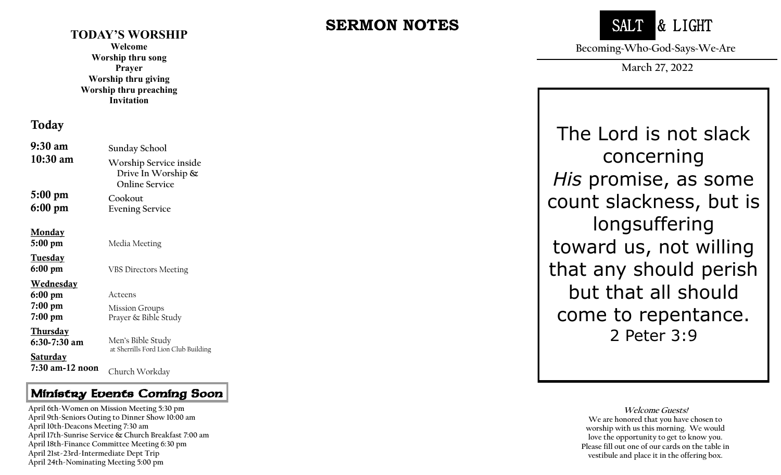#### **TODAY'S WORSHIP**

**Welcome Worship thru song Prayer Worship thru giving Worship thru preaching Invitation**

### Today

| 9:30 am          | Sunday School                                                            |
|------------------|--------------------------------------------------------------------------|
| $10:30$ am       | Worship Service inside<br>Drive In Worship $\&$<br><b>Online Service</b> |
| 5:00 pm          | Cookout                                                                  |
| 6:00 pm          | <b>Evening Service</b>                                                   |
| <u>Monday</u>    |                                                                          |
| 5:00 pm          | Media Meeting                                                            |
| <u>Tuesday</u>   |                                                                          |
| 6:00 pm          | <b>VBS Directors Meeting</b>                                             |
| <u>Wednesday</u> |                                                                          |
| 6:00 pm          | Acteens                                                                  |
| 7:00 pm          | <b>Mission Groups</b>                                                    |
| 7:00 pm          | Prayer & Bible Study                                                     |
| <u>Thursday</u>  |                                                                          |
| 6:30-7:30 am     | Men's Bible Study<br>at Sherrills Ford Lion Club Building                |
| <u>Saturday</u>  |                                                                          |
| 7:30 am-12 noon  | Church Workday                                                           |

### Ministry Events Coming Soon

 **April 17th -Sunrise Service & Church Breakfast 7:00 am April 6th -Women on Mission Meeting 5:30 pm April 9th -Seniors Outing to Dinner Show 10:00 am April 10th -Deacons Meeting 7:30 am April 18th -Finance Committee Meeting 6:30 pm April 21st -23rd -Intermediate Dept Trip April 24th -Nominating Meeting 5:00 pm**

# **SERMON NOTES**



**Becoming~Who~God~Says~We~Are**

**March 27, 2022**

The Lord is not slack concerning *His* promise, as some count slackness, but is longsuffering toward us, not willing that any should perish but that all should come to repentance. 2 Peter 3:9

> **Welcome Guests! We are honored that you have chosen to worship with us this morning. We would love the opportunity to get to know you. Please fill out one of our cards on the table in vestibule and place it in the offering box.**